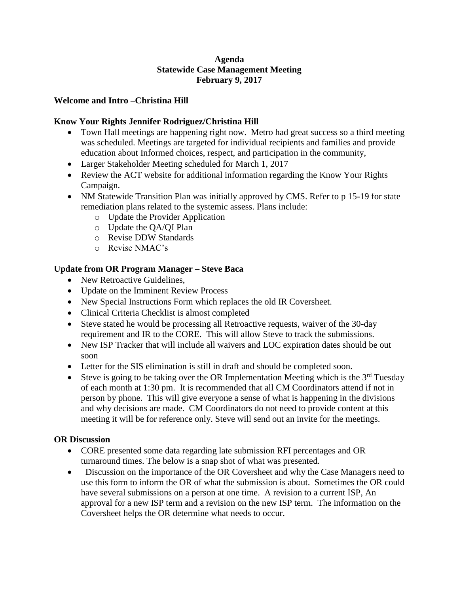### **Agenda Statewide Case Management Meeting February 9, 2017**

#### **Welcome and Intro –Christina Hill**

### **Know Your Rights Jennifer Rodriguez/Christina Hill**

- Town Hall meetings are happening right now. Metro had great success so a third meeting was scheduled. Meetings are targeted for individual recipients and families and provide education about Informed choices, respect, and participation in the community,
- Larger Stakeholder Meeting scheduled for March 1, 2017
- Review the ACT website for additional information regarding the Know Your Rights Campaign.
- NM Statewide Transition Plan was initially approved by CMS. Refer to p 15-19 for state remediation plans related to the systemic assess. Plans include:
	- o Update the Provider Application
	- o Update the QA/QI Plan
	- o Revise DDW Standards
	- o Revise NMAC's

## **Update from OR Program Manager – Steve Baca**

- New Retroactive Guidelines,
- Update on the Imminent Review Process
- New Special Instructions Form which replaces the old IR Coversheet.
- Clinical Criteria Checklist is almost completed
- Steve stated he would be processing all Retroactive requests, waiver of the 30-day requirement and IR to the CORE. This will allow Steve to track the submissions.
- New ISP Tracker that will include all waivers and LOC expiration dates should be out soon
- Letter for the SIS elimination is still in draft and should be completed soon.
- Steve is going to be taking over the OR Implementation Meeting which is the  $3<sup>rd</sup>$  Tuesday of each month at 1:30 pm. It is recommended that all CM Coordinators attend if not in person by phone. This will give everyone a sense of what is happening in the divisions and why decisions are made. CM Coordinators do not need to provide content at this meeting it will be for reference only. Steve will send out an invite for the meetings.

### **OR Discussion**

- CORE presented some data regarding late submission RFI percentages and OR turnaround times. The below is a snap shot of what was presented.
- Discussion on the importance of the OR Coversheet and why the Case Managers need to use this form to inform the OR of what the submission is about. Sometimes the OR could have several submissions on a person at one time. A revision to a current ISP, An approval for a new ISP term and a revision on the new ISP term. The information on the Coversheet helps the OR determine what needs to occur.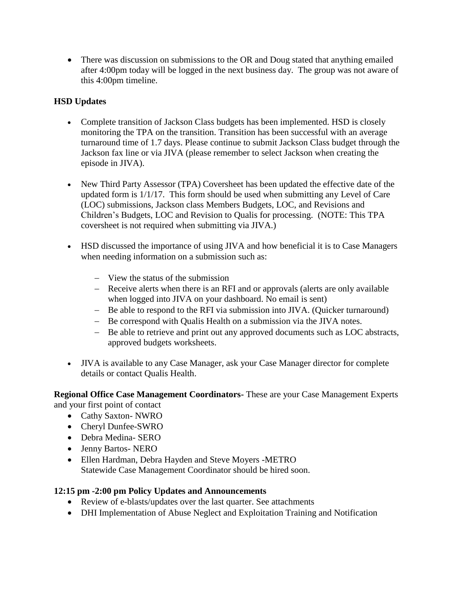• There was discussion on submissions to the OR and Doug stated that anything emailed after 4:00pm today will be logged in the next business day. The group was not aware of this 4:00pm timeline.

## **HSD Updates**

- Complete transition of Jackson Class budgets has been implemented. HSD is closely monitoring the TPA on the transition. Transition has been successful with an average turnaround time of 1.7 days. Please continue to submit Jackson Class budget through the Jackson fax line or via JIVA (please remember to select Jackson when creating the episode in JIVA).
- New Third Party Assessor (TPA) Coversheet has been updated the effective date of the updated form is 1/1/17. This form should be used when submitting any Level of Care (LOC) submissions, Jackson class Members Budgets, LOC, and Revisions and Children's Budgets, LOC and Revision to Qualis for processing. (NOTE: This TPA coversheet is not required when submitting via JIVA.)
- HSD discussed the importance of using JIVA and how beneficial it is to Case Managers when needing information on a submission such as:
	- $-$  View the status of the submission
	- Receive alerts when there is an RFI and or approvals (alerts are only available when logged into JIVA on your dashboard. No email is sent)
	- Be able to respond to the RFI via submission into JIVA. (Quicker turnaround)
	- Be correspond with Qualis Health on a submission via the JIVA notes.
	- Be able to retrieve and print out any approved documents such as LOC abstracts, approved budgets worksheets.
- JIVA is available to any Case Manager, ask your Case Manager director for complete details or contact Qualis Health.

**Regional Office Case Management Coordinators-** These are your Case Management Experts and your first point of contact

- Cathy Saxton- NWRO
- Cheryl Dunfee-SWRO
- Debra Medina- SERO
- Jenny Bartos- NERO
- Ellen Hardman, Debra Hayden and Steve Moyers -METRO Statewide Case Management Coordinator should be hired soon.

# **12:15 pm -2:00 pm Policy Updates and Announcements**

- Review of e-blasts/updates over the last quarter. See attachments
- DHI Implementation of Abuse Neglect and Exploitation Training and Notification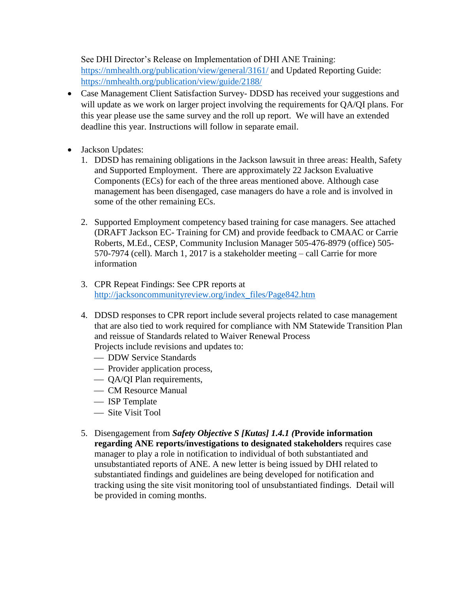See DHI Director's Release on Implementation of DHI ANE Training: <https://nmhealth.org/publication/view/general/3161/> and Updated Reporting Guide: <https://nmhealth.org/publication/view/guide/2188/>

- Case Management Client Satisfaction Survey- DDSD has received your suggestions and will update as we work on larger project involving the requirements for QA/QI plans. For this year please use the same survey and the roll up report. We will have an extended deadline this year. Instructions will follow in separate email.
- Jackson Updates:
	- 1. DDSD has remaining obligations in the Jackson lawsuit in three areas: Health, Safety and Supported Employment. There are approximately 22 Jackson Evaluative Components (ECs) for each of the three areas mentioned above. Although case management has been disengaged, case managers do have a role and is involved in some of the other remaining ECs.
	- 2. Supported Employment competency based training for case managers. See attached (DRAFT Jackson EC- Training for CM) and provide feedback to CMAAC or Carrie Roberts, M.Ed., CESP, Community Inclusion Manager 505-476-8979 (office) 505- 570-7974 (cell). March 1, 2017 is a stakeholder meeting – call Carrie for more information
	- 3. CPR Repeat Findings: See CPR reports at [http://jacksoncommunityreview.org/index\\_files/Page842.htm](http://jacksoncommunityreview.org/index_files/Page842.htm)
	- 4. DDSD responses to CPR report include several projects related to case management that are also tied to work required for compliance with NM Statewide Transition Plan and reissue of Standards related to Waiver Renewal Process Projects include revisions and updates to:
		- DDW Service Standards
		- Provider application process,
		- QA/QI Plan requirements,
		- CM Resource Manual
		- ISP Template
		- Site Visit Tool
	- 5. Disengagement from *Safety Objective S [Kutas] 1.4.1 (***Provide information regarding ANE reports/investigations to designated stakeholders** requires case manager to play a role in notification to individual of both substantiated and unsubstantiated reports of ANE. A new letter is being issued by DHI related to substantiated findings and guidelines are being developed for notification and tracking using the site visit monitoring tool of unsubstantiated findings. Detail will be provided in coming months.